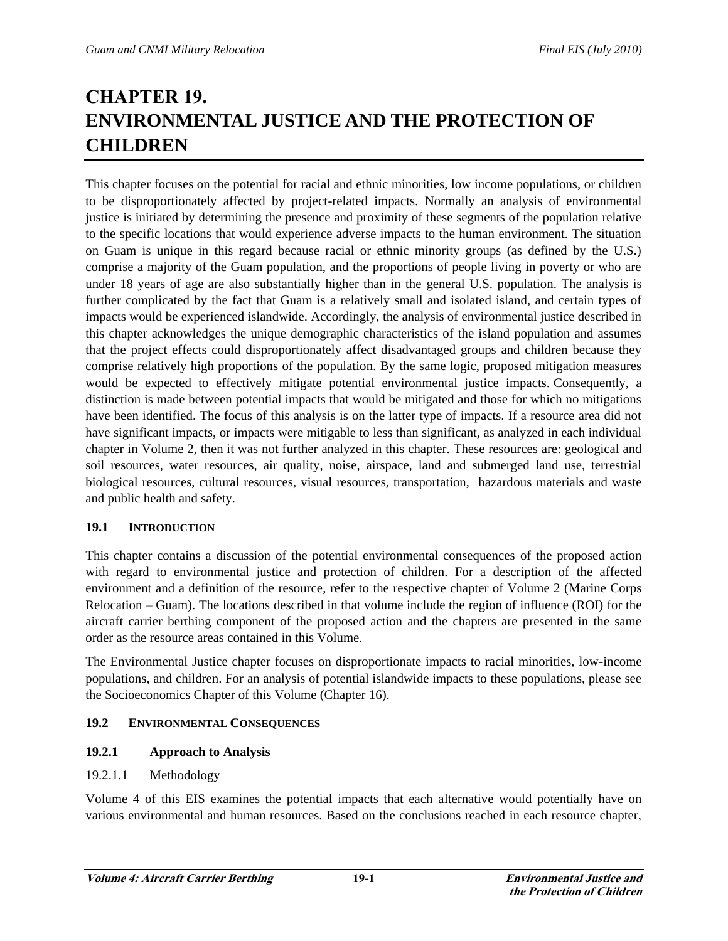# **CHAPTER 19. ENVIRONMENTAL JUSTICE AND THE PROTECTION OF CHILDREN**

This chapter focuses on the potential for racial and ethnic minorities, low income populations, or children to be disproportionately affected by project-related impacts. Normally an analysis of environmental justice is initiated by determining the presence and proximity of these segments of the population relative to the specific locations that would experience adverse impacts to the human environment. The situation on Guam is unique in this regard because racial or ethnic minority groups (as defined by the U.S.) comprise a majority of the Guam population, and the proportions of people living in poverty or who are under 18 years of age are also substantially higher than in the general U.S. population. The analysis is further complicated by the fact that Guam is a relatively small and isolated island, and certain types of impacts would be experienced islandwide. Accordingly, the analysis of environmental justice described in this chapter acknowledges the unique demographic characteristics of the island population and assumes that the project effects could disproportionately affect disadvantaged groups and children because they comprise relatively high proportions of the population. By the same logic, proposed mitigation measures would be expected to effectively mitigate potential environmental justice impacts. Consequently, a distinction is made between potential impacts that would be mitigated and those for which no mitigations have been identified. The focus of this analysis is on the latter type of impacts. If a resource area did not have significant impacts, or impacts were mitigable to less than significant, as analyzed in each individual chapter in Volume 2, then it was not further analyzed in this chapter. These resources are: geological and soil resources, water resources, air quality, noise, airspace, land and submerged land use, terrestrial biological resources, cultural resources, visual resources, transportation, hazardous materials and waste and public health and safety.

# **19.1 INTRODUCTION**

This chapter contains a discussion of the potential environmental consequences of the proposed action with regard to environmental justice and protection of children. For a description of the affected environment and a definition of the resource, refer to the respective chapter of Volume 2 (Marine Corps Relocation – Guam). The locations described in that volume include the region of influence (ROI) for the aircraft carrier berthing component of the proposed action and the chapters are presented in the same order as the resource areas contained in this Volume.

The Environmental Justice chapter focuses on disproportionate impacts to racial minorities, low-income populations, and children. For an analysis of potential islandwide impacts to these populations, please see the Socioeconomics Chapter of this Volume (Chapter 16).

# **19.2 ENVIRONMENTAL CONSEQUENCES**

# **19.2.1 Approach to Analysis**

#### 19.2.1.1 Methodology

Volume 4 of this EIS examines the potential impacts that each alternative would potentially have on various environmental and human resources. Based on the conclusions reached in each resource chapter,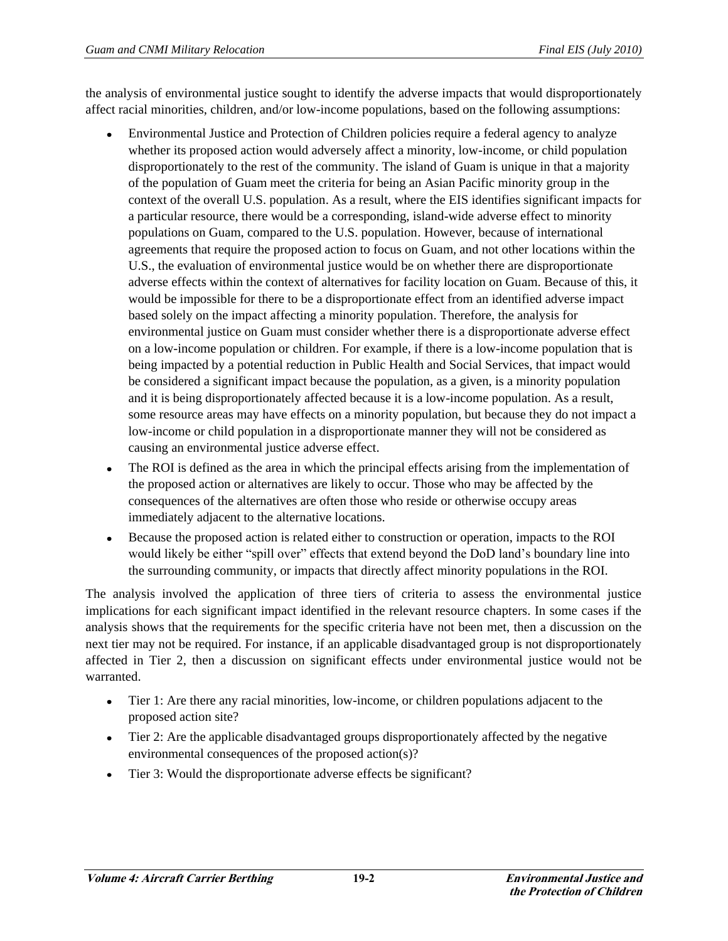the analysis of environmental justice sought to identify the adverse impacts that would disproportionately affect racial minorities, children, and/or low-income populations, based on the following assumptions:

- Environmental Justice and Protection of Children policies require a federal agency to analyze whether its proposed action would adversely affect a minority, low-income, or child population disproportionately to the rest of the community. The island of Guam is unique in that a majority of the population of Guam meet the criteria for being an Asian Pacific minority group in the context of the overall U.S. population. As a result, where the EIS identifies significant impacts for a particular resource, there would be a corresponding, island-wide adverse effect to minority populations on Guam, compared to the U.S. population. However, because of international agreements that require the proposed action to focus on Guam, and not other locations within the U.S., the evaluation of environmental justice would be on whether there are disproportionate adverse effects within the context of alternatives for facility location on Guam. Because of this, it would be impossible for there to be a disproportionate effect from an identified adverse impact based solely on the impact affecting a minority population. Therefore, the analysis for environmental justice on Guam must consider whether there is a disproportionate adverse effect on a low-income population or children. For example, if there is a low-income population that is being impacted by a potential reduction in Public Health and Social Services, that impact would be considered a significant impact because the population, as a given, is a minority population and it is being disproportionately affected because it is a low-income population. As a result, some resource areas may have effects on a minority population, but because they do not impact a low-income or child population in a disproportionate manner they will not be considered as causing an environmental justice adverse effect.
- The ROI is defined as the area in which the principal effects arising from the implementation of the proposed action or alternatives are likely to occur. Those who may be affected by the consequences of the alternatives are often those who reside or otherwise occupy areas immediately adjacent to the alternative locations.
- Because the proposed action is related either to construction or operation, impacts to the ROI  $\bullet$ would likely be either "spill over" effects that extend beyond the DoD land's boundary line into the surrounding community, or impacts that directly affect minority populations in the ROI.

The analysis involved the application of three tiers of criteria to assess the environmental justice implications for each significant impact identified in the relevant resource chapters. In some cases if the analysis shows that the requirements for the specific criteria have not been met, then a discussion on the next tier may not be required. For instance, if an applicable disadvantaged group is not disproportionately affected in Tier 2, then a discussion on significant effects under environmental justice would not be warranted.

- Tier 1: Are there any racial minorities, low-income, or children populations adjacent to the  $\bullet$ proposed action site?
- Tier 2: Are the applicable disadvantaged groups disproportionately affected by the negative  $\bullet$ environmental consequences of the proposed action(s)?
- Tier 3: Would the disproportionate adverse effects be significant?  $\bullet$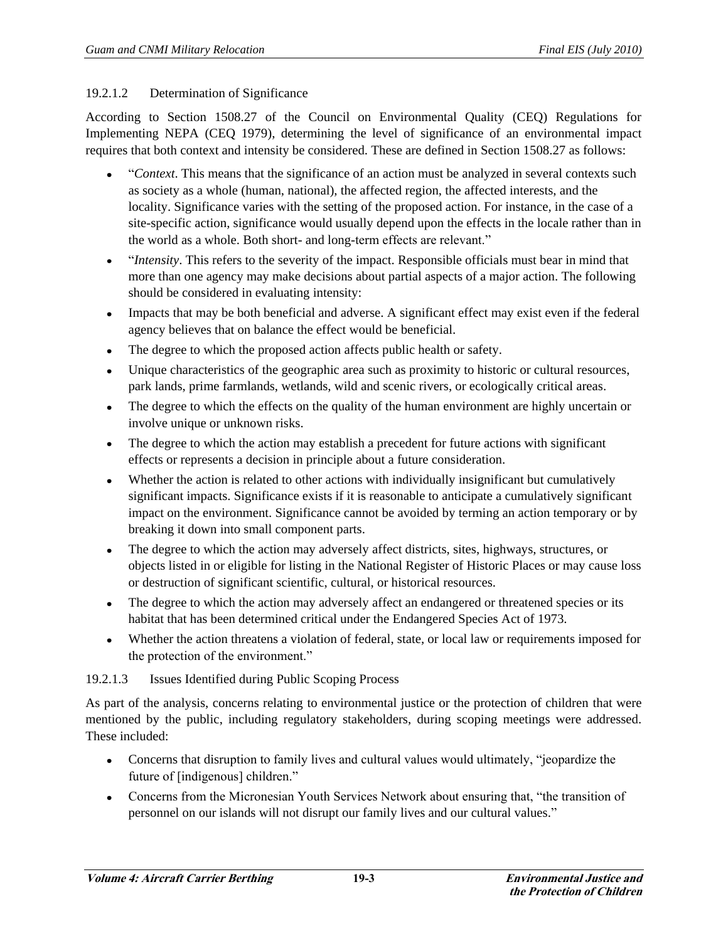## 19.2.1.2 Determination of Significance

According to Section 1508.27 of the Council on Environmental Quality (CEQ) Regulations for Implementing NEPA (CEQ 1979), determining the level of significance of an environmental impact requires that both context and intensity be considered. These are defined in Section 1508.27 as follows:

- ―*Context*. This means that the significance of an action must be analyzed in several contexts such as society as a whole (human, national), the affected region, the affected interests, and the locality. Significance varies with the setting of the proposed action. For instance, in the case of a site-specific action, significance would usually depend upon the effects in the locale rather than in the world as a whole. Both short- and long-term effects are relevant."
- ―*Intensity*. This refers to the severity of the impact. Responsible officials must bear in mind that  $\bullet$ more than one agency may make decisions about partial aspects of a major action. The following should be considered in evaluating intensity:
- Impacts that may be both beneficial and adverse. A significant effect may exist even if the federal agency believes that on balance the effect would be beneficial.
- The degree to which the proposed action affects public health or safety.  $\bullet$
- Unique characteristics of the geographic area such as proximity to historic or cultural resources, park lands, prime farmlands, wetlands, wild and scenic rivers, or ecologically critical areas.
- The degree to which the effects on the quality of the human environment are highly uncertain or involve unique or unknown risks.
- The degree to which the action may establish a precedent for future actions with significant effects or represents a decision in principle about a future consideration.
- Whether the action is related to other actions with individually insignificant but cumulatively significant impacts. Significance exists if it is reasonable to anticipate a cumulatively significant impact on the environment. Significance cannot be avoided by terming an action temporary or by breaking it down into small component parts.
- The degree to which the action may adversely affect districts, sites, highways, structures, or  $\bullet$ objects listed in or eligible for listing in the National Register of Historic Places or may cause loss or destruction of significant scientific, cultural, or historical resources.
- The degree to which the action may adversely affect an endangered or threatened species or its  $\bullet$ habitat that has been determined critical under the Endangered Species Act of 1973.
- Whether the action threatens a violation of federal, state, or local law or requirements imposed for the protection of the environment."

# 19.2.1.3 Issues Identified during Public Scoping Process

As part of the analysis, concerns relating to environmental justice or the protection of children that were mentioned by the public, including regulatory stakeholders, during scoping meetings were addressed. These included:

- Concerns that disruption to family lives and cultural values would ultimately, "ieopardize the future of [indigenous] children."
- Concerns from the Micronesian Youth Services Network about ensuring that, "the transition of personnel on our islands will not disrupt our family lives and our cultural values."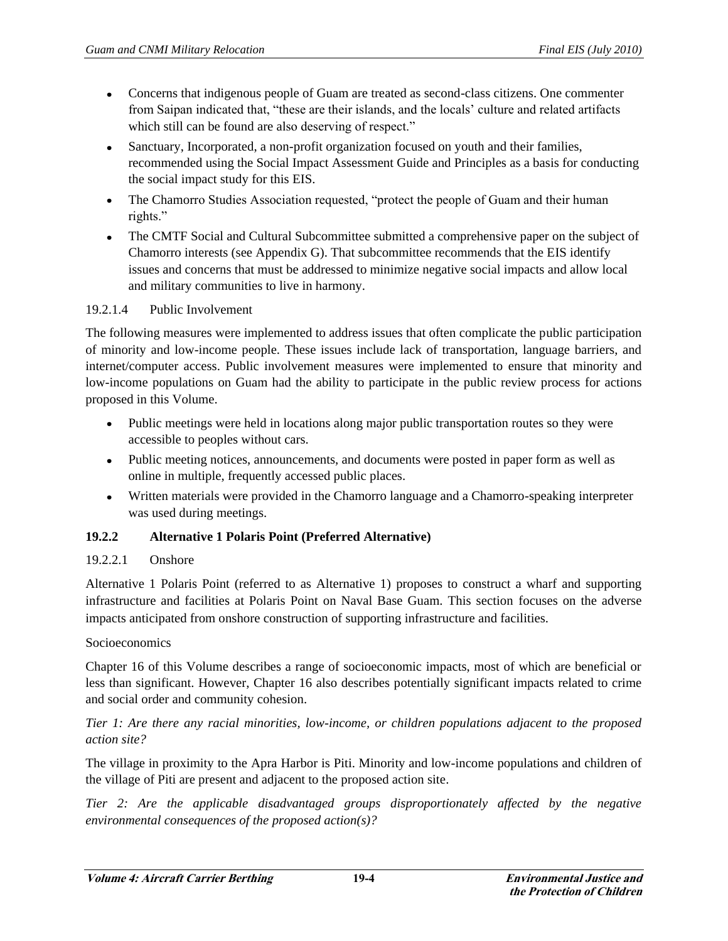- Concerns that indigenous people of Guam are treated as second-class citizens. One commenter from Saipan indicated that, "these are their islands, and the locals' culture and related artifacts which still can be found are also deserving of respect."
- Sanctuary, Incorporated, a non-profit organization focused on youth and their families, recommended using the Social Impact Assessment Guide and Principles as a basis for conducting the social impact study for this EIS.
- The Chamorro Studies Association requested, "protect the people of Guam and their human  $\bullet$ rights."
- The CMTF Social and Cultural Subcommittee submitted a comprehensive paper on the subject of  $\bullet$ Chamorro interests (see Appendix G). That subcommittee recommends that the EIS identify issues and concerns that must be addressed to minimize negative social impacts and allow local and military communities to live in harmony.

## 19.2.1.4 Public Involvement

The following measures were implemented to address issues that often complicate the public participation of minority and low-income people. These issues include lack of transportation, language barriers, and internet/computer access. Public involvement measures were implemented to ensure that minority and low-income populations on Guam had the ability to participate in the public review process for actions proposed in this Volume.

- Public meetings were held in locations along major public transportation routes so they were  $\bullet$ accessible to peoples without cars.
- Public meeting notices, announcements, and documents were posted in paper form as well as online in multiple, frequently accessed public places.
- Written materials were provided in the Chamorro language and a Chamorro-speaking interpreter  $\bullet$ was used during meetings.

# **19.2.2 Alternative 1 Polaris Point (Preferred Alternative)**

# 19.2.2.1 Onshore

Alternative 1 Polaris Point (referred to as Alternative 1) proposes to construct a wharf and supporting infrastructure and facilities at Polaris Point on Naval Base Guam. This section focuses on the adverse impacts anticipated from onshore construction of supporting infrastructure and facilities.

# Socioeconomics

Chapter 16 of this Volume describes a range of socioeconomic impacts, most of which are beneficial or less than significant. However, Chapter 16 also describes potentially significant impacts related to crime and social order and community cohesion.

## *Tier 1: Are there any racial minorities, low-income, or children populations adjacent to the proposed action site?*

The village in proximity to the Apra Harbor is Piti. Minority and low-income populations and children of the village of Piti are present and adjacent to the proposed action site.

*Tier 2: Are the applicable disadvantaged groups disproportionately affected by the negative environmental consequences of the proposed action(s)?*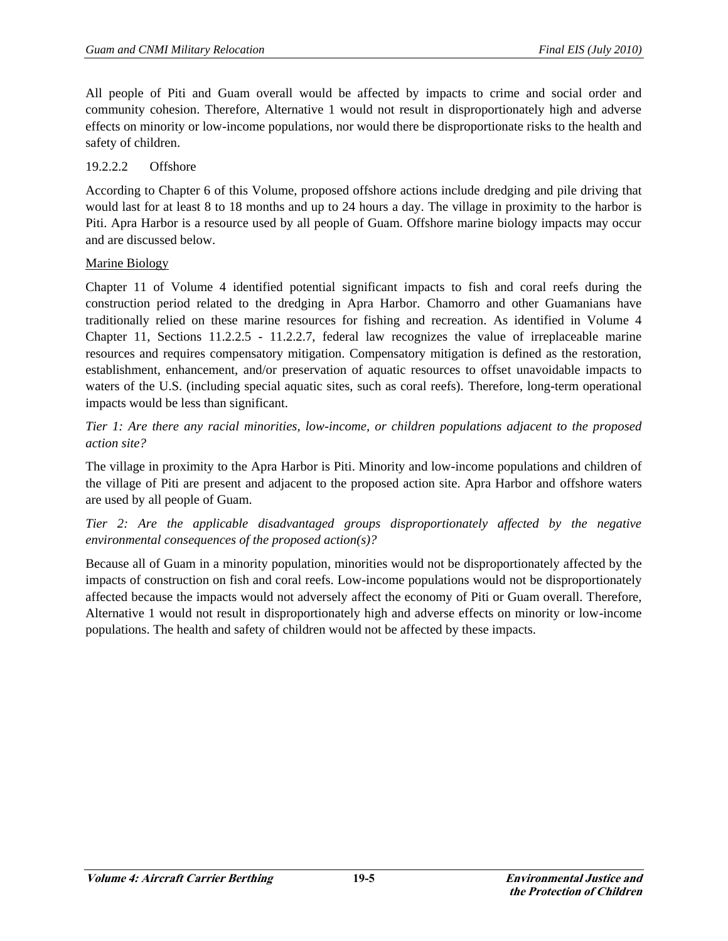All people of Piti and Guam overall would be affected by impacts to crime and social order and community cohesion. Therefore, Alternative 1 would not result in disproportionately high and adverse effects on minority or low-income populations, nor would there be disproportionate risks to the health and safety of children.

## 19.2.2.2 Offshore

According to Chapter 6 of this Volume, proposed offshore actions include dredging and pile driving that would last for at least 8 to 18 months and up to 24 hours a day. The village in proximity to the harbor is Piti. Apra Harbor is a resource used by all people of Guam. Offshore marine biology impacts may occur and are discussed below.

#### Marine Biology

Chapter 11 of Volume 4 identified potential significant impacts to fish and coral reefs during the construction period related to the dredging in Apra Harbor. Chamorro and other Guamanians have traditionally relied on these marine resources for fishing and recreation. As identified in Volume 4 Chapter 11, Sections 11.2.2.5 - 11.2.2.7, federal law recognizes the value of irreplaceable marine resources and requires compensatory mitigation. Compensatory mitigation is defined as the restoration, establishment, enhancement, and/or preservation of aquatic resources to offset unavoidable impacts to waters of the U.S. (including special aquatic sites, such as coral reefs). Therefore, long-term operational impacts would be less than significant.

## *Tier 1: Are there any racial minorities, low-income, or children populations adjacent to the proposed action site?*

The village in proximity to the Apra Harbor is Piti. Minority and low-income populations and children of the village of Piti are present and adjacent to the proposed action site. Apra Harbor and offshore waters are used by all people of Guam.

*Tier 2: Are the applicable disadvantaged groups disproportionately affected by the negative environmental consequences of the proposed action(s)?* 

Because all of Guam in a minority population, minorities would not be disproportionately affected by the impacts of construction on fish and coral reefs. Low-income populations would not be disproportionately affected because the impacts would not adversely affect the economy of Piti or Guam overall. Therefore, Alternative 1 would not result in disproportionately high and adverse effects on minority or low-income populations. The health and safety of children would not be affected by these impacts.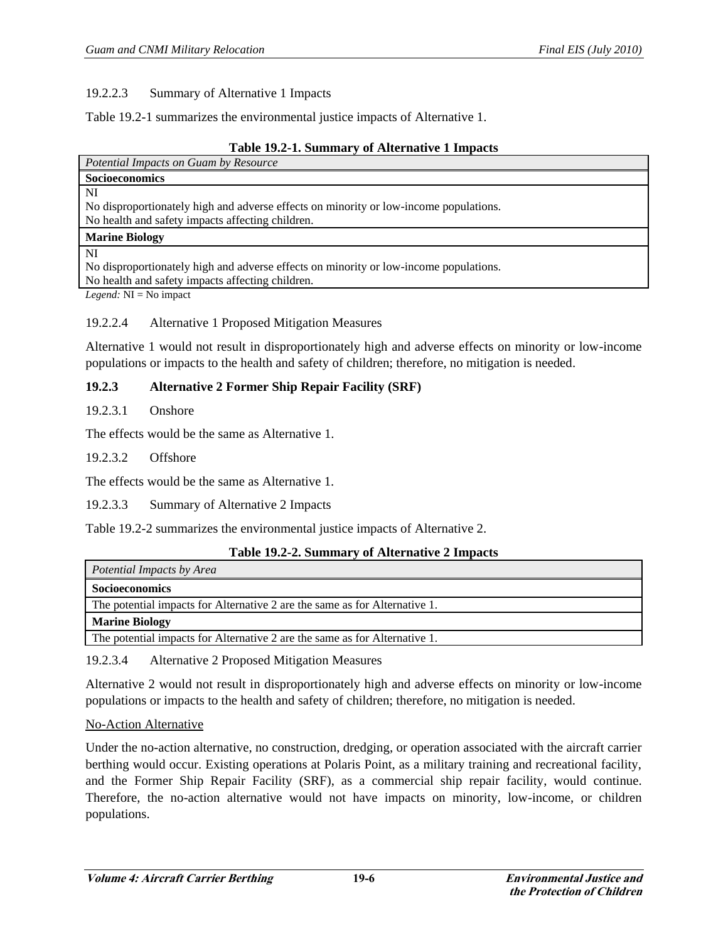## 19.2.2.3 Summary of Alternative 1 Impacts

Table 19.2-1 summarizes the environmental justice impacts of Alternative 1.

| Table 19.2-1. Summary of Alternative 1 Impacts                                        |
|---------------------------------------------------------------------------------------|
| Potential Impacts on Guam by Resource                                                 |
| Socioeconomics                                                                        |
| NI                                                                                    |
| No disproportionately high and adverse effects on minority or low-income populations. |
| No health and safety impacts affecting children.                                      |
| <b>Marine Biology</b>                                                                 |
| NI                                                                                    |
| No disproportionately high and adverse effects on minority or low-income populations. |
| No health and safety impacts affecting children.                                      |

*Legend:* NI = No impact

#### 19.2.2.4 Alternative 1 Proposed Mitigation Measures

Alternative 1 would not result in disproportionately high and adverse effects on minority or low-income populations or impacts to the health and safety of children; therefore, no mitigation is needed.

#### **19.2.3 Alternative 2 Former Ship Repair Facility (SRF)**

19.2.3.1 Onshore

The effects would be the same as Alternative 1.

#### 19.2.3.2 Offshore

The effects would be the same as Alternative 1.

#### 19.2.3.3 Summary of Alternative 2 Impacts

Table 19.2-2 summarizes the environmental justice impacts of Alternative 2.

#### **Table 19.2-2. Summary of Alternative 2 Impacts**

| Potential Impacts by Area                                                  |
|----------------------------------------------------------------------------|
| <b>Socioeconomics</b>                                                      |
| The potential impacts for Alternative 2 are the same as for Alternative 1. |
| <b>Marine Biology</b>                                                      |
| The potential impacts for Alternative 2 are the same as for Alternative 1. |

#### 19.2.3.4 Alternative 2 Proposed Mitigation Measures

Alternative 2 would not result in disproportionately high and adverse effects on minority or low-income populations or impacts to the health and safety of children; therefore, no mitigation is needed.

#### No-Action Alternative

Under the no-action alternative, no construction, dredging, or operation associated with the aircraft carrier berthing would occur. Existing operations at Polaris Point, as a military training and recreational facility, and the Former Ship Repair Facility (SRF), as a commercial ship repair facility, would continue. Therefore, the no-action alternative would not have impacts on minority, low-income, or children populations.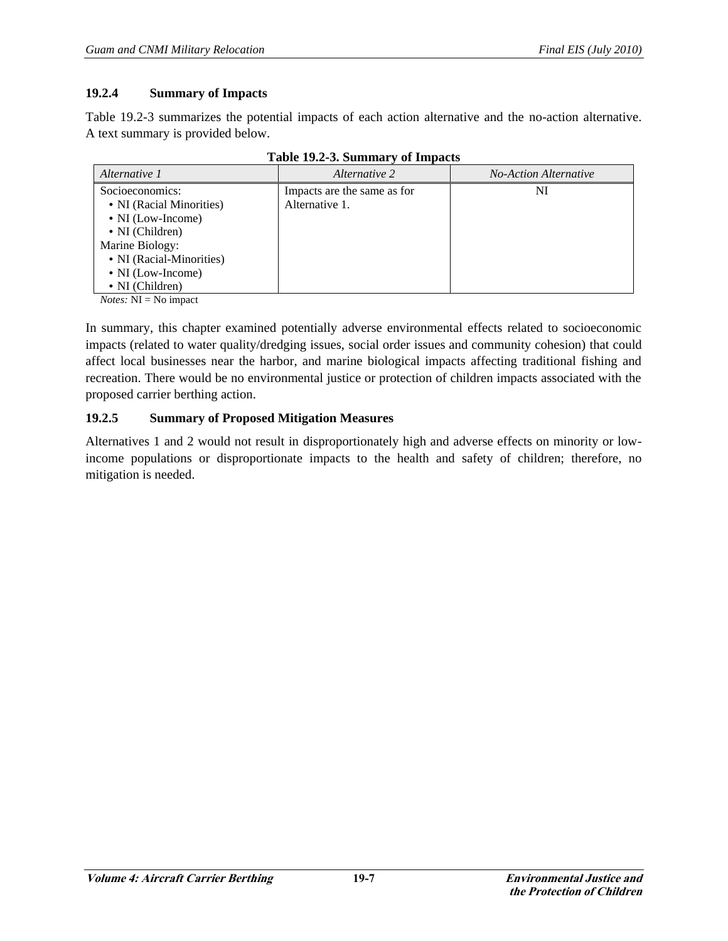## **19.2.4 Summary of Impacts**

Table 19.2-3 summarizes the potential impacts of each action alternative and the no-action alternative. A text summary is provided below.

| Alternative 1             | Alternative 2               | No-Action Alternative |
|---------------------------|-----------------------------|-----------------------|
| Socioeconomics:           | Impacts are the same as for | NI                    |
| • NI (Racial Minorities)  | Alternative 1.              |                       |
| $\bullet$ NI (Low-Income) |                             |                       |
| $\bullet$ NI (Children)   |                             |                       |
| Marine Biology:           |                             |                       |
| • NI (Racial-Minorities)  |                             |                       |
| $\bullet$ NI (Low-Income) |                             |                       |
| • NI (Children)           |                             |                       |

| Table 19.2-3. Summary of Impacts |  |  |  |  |
|----------------------------------|--|--|--|--|
|----------------------------------|--|--|--|--|

*Notes:* NI = No impact

In summary, this chapter examined potentially adverse environmental effects related to socioeconomic impacts (related to water quality/dredging issues, social order issues and community cohesion) that could affect local businesses near the harbor, and marine biological impacts affecting traditional fishing and recreation. There would be no environmental justice or protection of children impacts associated with the proposed carrier berthing action.

#### **19.2.5 Summary of Proposed Mitigation Measures**

Alternatives 1 and 2 would not result in disproportionately high and adverse effects on minority or lowincome populations or disproportionate impacts to the health and safety of children; therefore, no mitigation is needed.